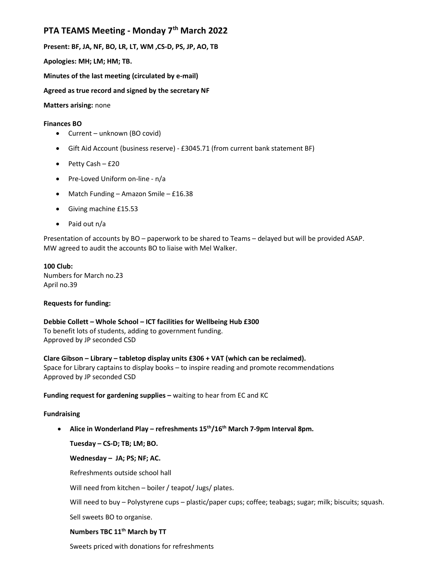# PTA TEAMS Meeting - Monday 7<sup>th</sup> March 2022

Present: BF, JA, NF, BO, LR, LT, WM ,CS-D, PS, JP, AO, TB

Apologies: MH; LM; HM; TB.

Minutes of the last meeting (circulated by e-mail)

Agreed as true record and signed by the secretary NF

Matters arising: none

## Finances BO

- Current unknown (BO covid)
- Gift Aid Account (business reserve) £3045.71 (from current bank statement BF)
- $\bullet$  Petty Cash £20
- Pre-Loved Uniform on-line n/a
- Match Funding Amazon Smile £16.38
- Giving machine £15.53
- Paid out n/a

Presentation of accounts by BO – paperwork to be shared to Teams – delayed but will be provided ASAP. MW agreed to audit the accounts BO to liaise with Mel Walker.

### 100 Club:

Numbers for March no.23 April no.39

# Requests for funding:

# Debbie Collett – Whole School – ICT facilities for Wellbeing Hub £300 To benefit lots of students, adding to government funding.

Approved by JP seconded CSD

Clare Gibson – Library – tabletop display units £306 + VAT (which can be reclaimed).

Space for Library captains to display books – to inspire reading and promote recommendations Approved by JP seconded CSD

Funding request for gardening supplies - waiting to hear from EC and KC

# Fundraising

• Alice in Wonderland Play – refreshments  $15<sup>th</sup>/16<sup>th</sup>$  March 7-9pm Interval 8pm.

Tuesday – CS-D; TB; LM; BO.

Wednesday – JA; PS; NF; AC.

Refreshments outside school hall

Will need from kitchen – boiler / teapot/ Jugs/ plates.

Will need to buy – Polystyrene cups – plastic/paper cups; coffee; teabags; sugar; milk; biscuits; squash.

Sell sweets BO to organise.

# Numbers TBC 11<sup>th</sup> March by TT

Sweets priced with donations for refreshments